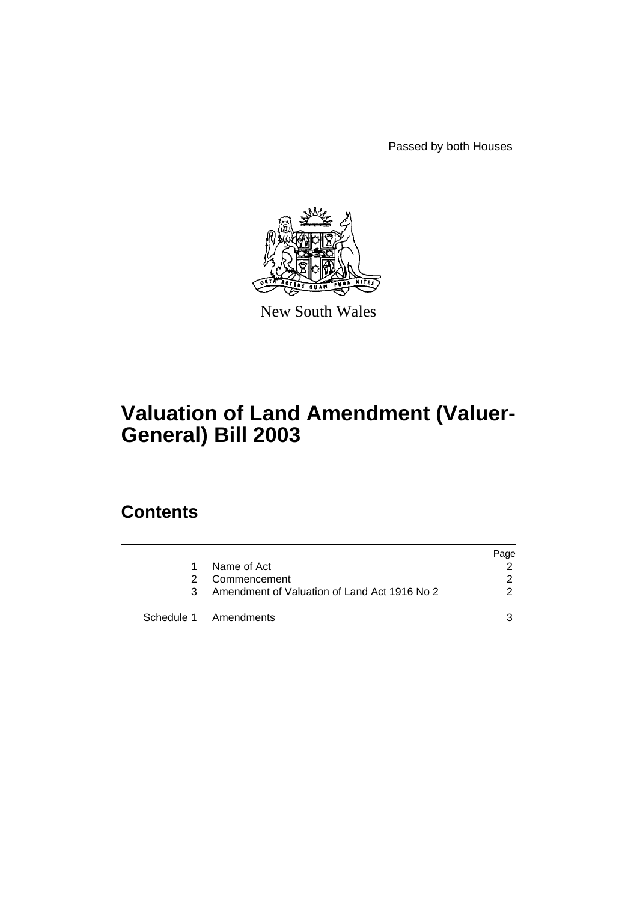Passed by both Houses



New South Wales

# **Valuation of Land Amendment (Valuer-General) Bill 2003**

# **Contents**

|    |                                              | Page |
|----|----------------------------------------------|------|
| 1. | Name of Act                                  |      |
| 2  | Commencement                                 | 2    |
| 3  | Amendment of Valuation of Land Act 1916 No 2 | 2    |
|    | Schedule 1 Amendments                        | ર    |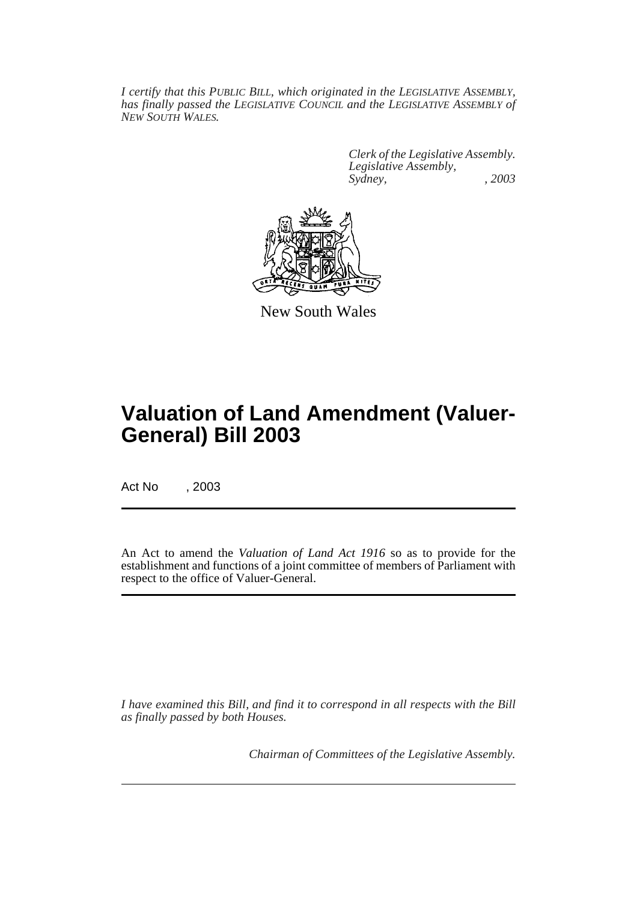*I certify that this PUBLIC BILL, which originated in the LEGISLATIVE ASSEMBLY, has finally passed the LEGISLATIVE COUNCIL and the LEGISLATIVE ASSEMBLY of NEW SOUTH WALES.*

> *Clerk of the Legislative Assembly. Legislative Assembly, Sydney, , 2003*



New South Wales

# **Valuation of Land Amendment (Valuer-General) Bill 2003**

Act No , 2003

An Act to amend the *Valuation of Land Act 1916* so as to provide for the establishment and functions of a joint committee of members of Parliament with respect to the office of Valuer-General.

*I have examined this Bill, and find it to correspond in all respects with the Bill as finally passed by both Houses.*

*Chairman of Committees of the Legislative Assembly.*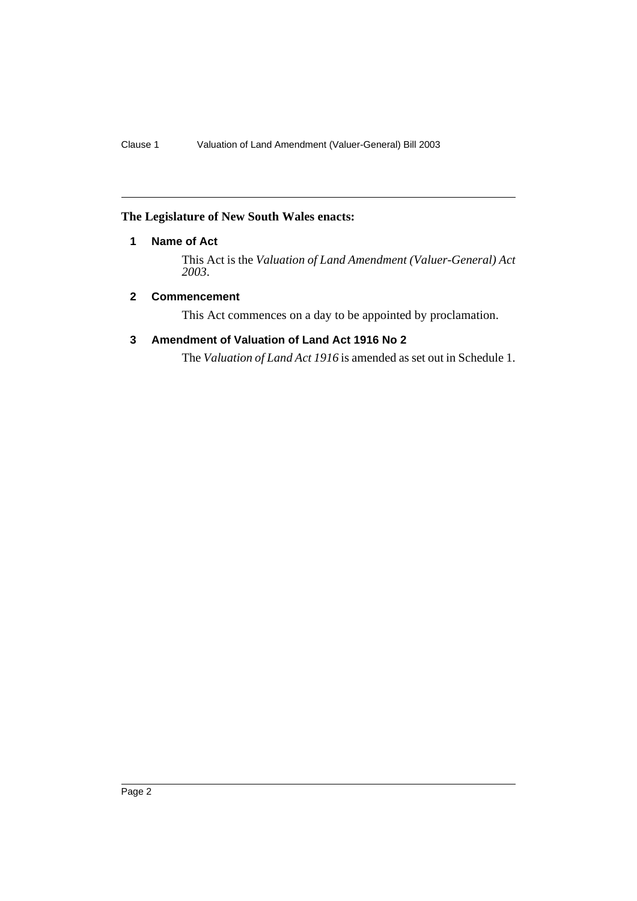### <span id="page-2-0"></span>**The Legislature of New South Wales enacts:**

## **1 Name of Act**

This Act is the *Valuation of Land Amendment (Valuer-General) Act 2003*.

#### <span id="page-2-1"></span>**2 Commencement**

This Act commences on a day to be appointed by proclamation.

### <span id="page-2-2"></span>**3 Amendment of Valuation of Land Act 1916 No 2**

The *Valuation of Land Act 1916* is amended as set out in Schedule 1.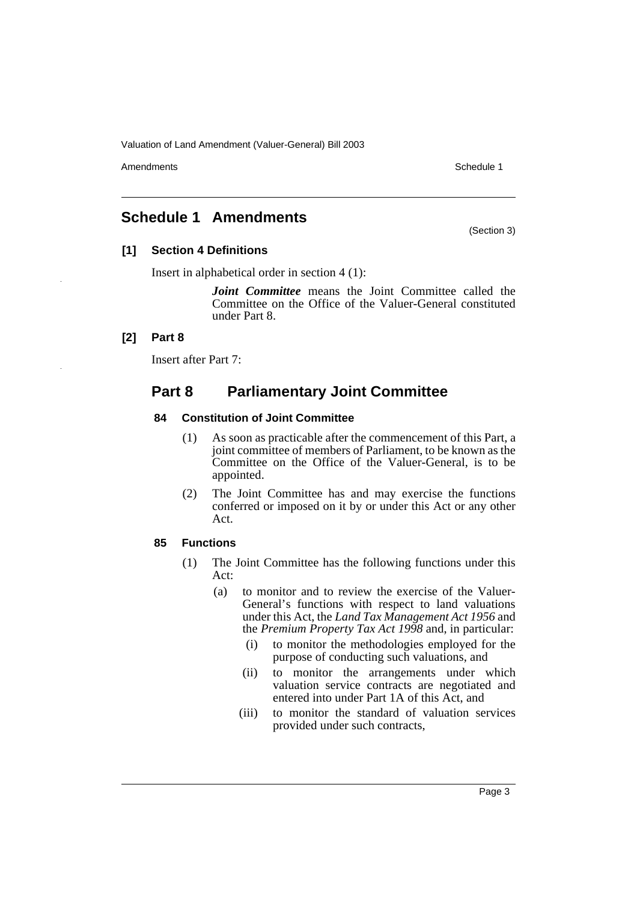Amendments **Schedule 1** and the set of the set of the set of the set of the set of the set of the set of the set of the set of the set of the set of the set of the set of the set of the set of the set of the set of the set

(Section 3)

## <span id="page-3-0"></span>**Schedule 1 Amendments**

### **[1] Section 4 Definitions**

Insert in alphabetical order in section 4 (1):

*Joint Committee* means the Joint Committee called the Committee on the Office of the Valuer-General constituted under Part 8.

## **[2] Part 8**

Insert after Part 7:

# **Part 8 Parliamentary Joint Committee**

#### **84 Constitution of Joint Committee**

- (1) As soon as practicable after the commencement of this Part, a joint committee of members of Parliament, to be known as the Committee on the Office of the Valuer-General, is to be appointed.
- (2) The Joint Committee has and may exercise the functions conferred or imposed on it by or under this Act or any other Act.

#### **85 Functions**

- (1) The Joint Committee has the following functions under this Act:
	- (a) to monitor and to review the exercise of the Valuer-General's functions with respect to land valuations under this Act, the *Land Tax Management Act 1956* and the *Premium Property Tax Act 1998* and, in particular:
		- (i) to monitor the methodologies employed for the purpose of conducting such valuations, and
		- (ii) to monitor the arrangements under which valuation service contracts are negotiated and entered into under Part 1A of this Act, and
		- (iii) to monitor the standard of valuation services provided under such contracts,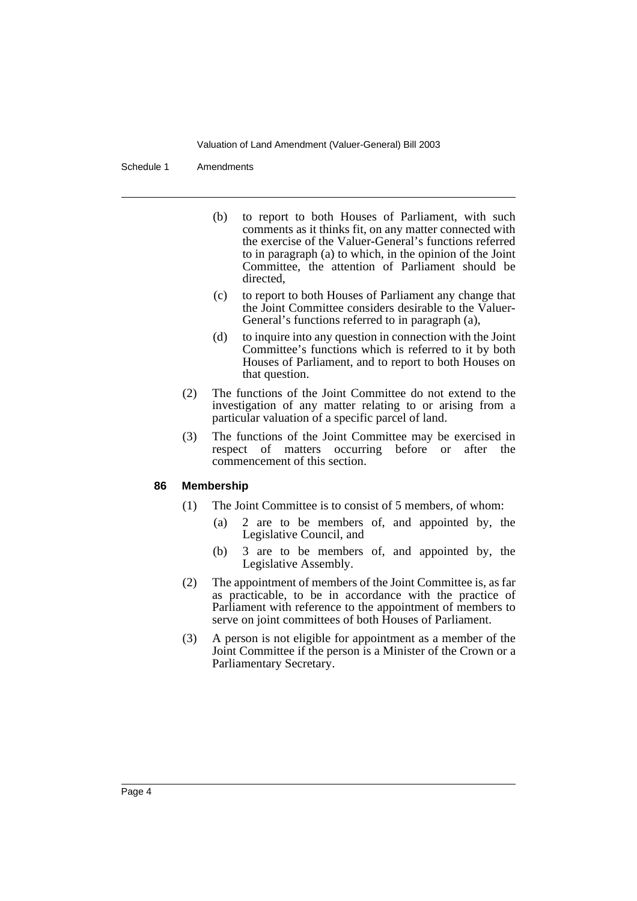Schedule 1 Amendments

- (b) to report to both Houses of Parliament, with such comments as it thinks fit, on any matter connected with the exercise of the Valuer-General's functions referred to in paragraph (a) to which, in the opinion of the Joint Committee, the attention of Parliament should be directed,
- (c) to report to both Houses of Parliament any change that the Joint Committee considers desirable to the Valuer-General's functions referred to in paragraph (a),
- (d) to inquire into any question in connection with the Joint Committee's functions which is referred to it by both Houses of Parliament, and to report to both Houses on that question.
- (2) The functions of the Joint Committee do not extend to the investigation of any matter relating to or arising from a particular valuation of a specific parcel of land.
- (3) The functions of the Joint Committee may be exercised in respect of matters occurring before or after the commencement of this section.

#### **86 Membership**

- (1) The Joint Committee is to consist of 5 members, of whom:
	- (a) 2 are to be members of, and appointed by, the Legislative Council, and
	- (b) 3 are to be members of, and appointed by, the Legislative Assembly.
- (2) The appointment of members of the Joint Committee is, as far as practicable, to be in accordance with the practice of Parliament with reference to the appointment of members to serve on joint committees of both Houses of Parliament.
- (3) A person is not eligible for appointment as a member of the Joint Committee if the person is a Minister of the Crown or a Parliamentary Secretary.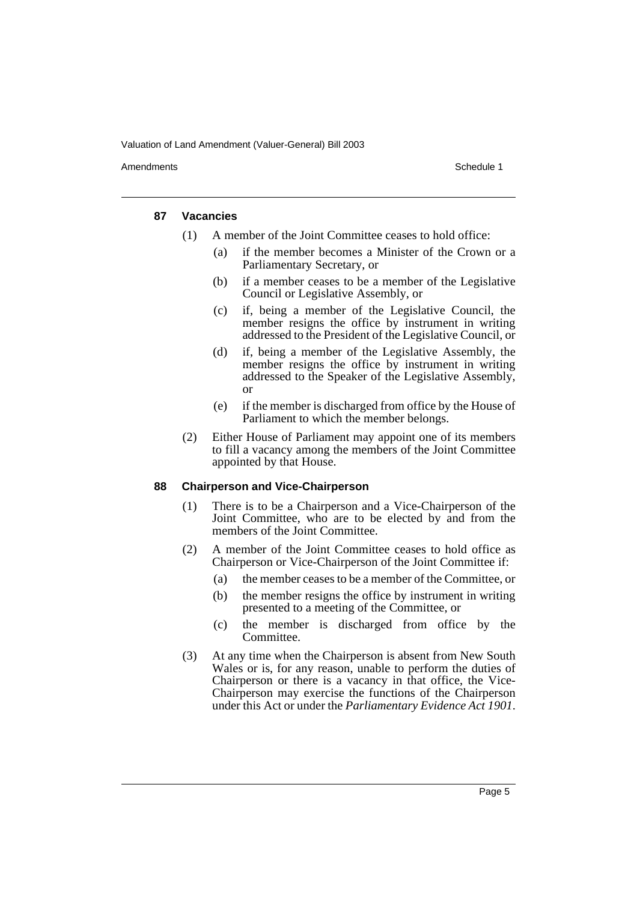Amendments **Schedule 1** and the set of the set of the set of the set of the set of the set of the set of the set of the set of the set of the set of the set of the set of the set of the set of the set of the set of the set

#### **87 Vacancies**

- (1) A member of the Joint Committee ceases to hold office:
	- (a) if the member becomes a Minister of the Crown or a Parliamentary Secretary, or
	- (b) if a member ceases to be a member of the Legislative Council or Legislative Assembly, or
	- (c) if, being a member of the Legislative Council, the member resigns the office by instrument in writing addressed to the President of the Legislative Council, or
	- (d) if, being a member of the Legislative Assembly, the member resigns the office by instrument in writing addressed to the Speaker of the Legislative Assembly, or
	- (e) if the member is discharged from office by the House of Parliament to which the member belongs.
- (2) Either House of Parliament may appoint one of its members to fill a vacancy among the members of the Joint Committee appointed by that House.

#### **88 Chairperson and Vice-Chairperson**

- (1) There is to be a Chairperson and a Vice-Chairperson of the Joint Committee, who are to be elected by and from the members of the Joint Committee.
- (2) A member of the Joint Committee ceases to hold office as Chairperson or Vice-Chairperson of the Joint Committee if:
	- (a) the member ceases to be a member of the Committee, or
	- (b) the member resigns the office by instrument in writing presented to a meeting of the Committee, or
	- (c) the member is discharged from office by the Committee.
- (3) At any time when the Chairperson is absent from New South Wales or is, for any reason, unable to perform the duties of Chairperson or there is a vacancy in that office, the Vice-Chairperson may exercise the functions of the Chairperson under this Act or under the *Parliamentary Evidence Act 1901*.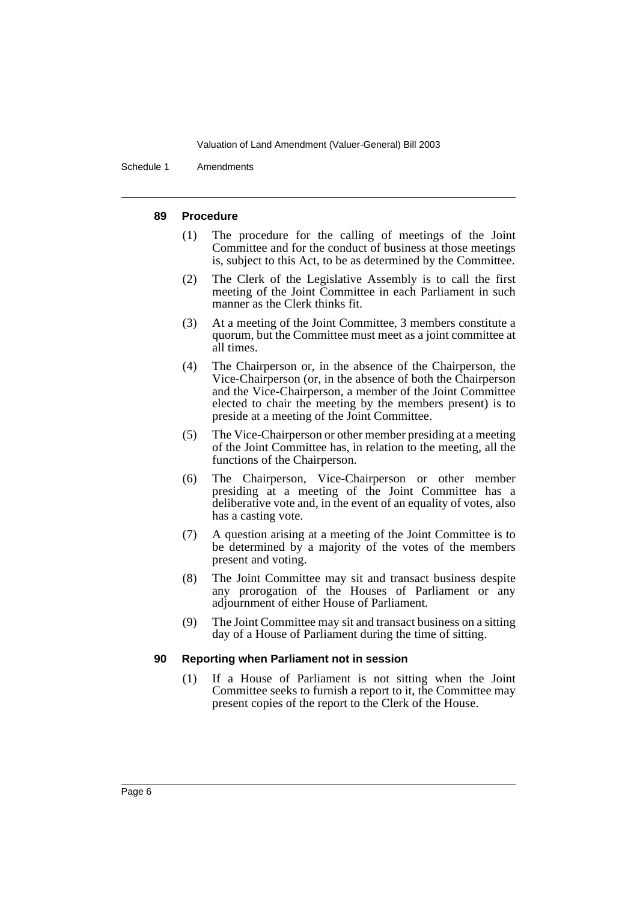Schedule 1 Amendments

#### **89 Procedure**

- (1) The procedure for the calling of meetings of the Joint Committee and for the conduct of business at those meetings is, subject to this Act, to be as determined by the Committee.
- (2) The Clerk of the Legislative Assembly is to call the first meeting of the Joint Committee in each Parliament in such manner as the Clerk thinks fit.
- (3) At a meeting of the Joint Committee, 3 members constitute a quorum, but the Committee must meet as a joint committee at all times.
- (4) The Chairperson or, in the absence of the Chairperson, the Vice-Chairperson (or, in the absence of both the Chairperson and the Vice-Chairperson, a member of the Joint Committee elected to chair the meeting by the members present) is to preside at a meeting of the Joint Committee.
- (5) The Vice-Chairperson or other member presiding at a meeting of the Joint Committee has, in relation to the meeting, all the functions of the Chairperson.
- (6) The Chairperson, Vice-Chairperson or other member presiding at a meeting of the Joint Committee has a deliberative vote and, in the event of an equality of votes, also has a casting vote.
- (7) A question arising at a meeting of the Joint Committee is to be determined by a majority of the votes of the members present and voting.
- (8) The Joint Committee may sit and transact business despite any prorogation of the Houses of Parliament or any adjournment of either House of Parliament.
- (9) The Joint Committee may sit and transact business on a sitting day of a House of Parliament during the time of sitting.

#### **90 Reporting when Parliament not in session**

(1) If a House of Parliament is not sitting when the Joint Committee seeks to furnish a report to it, the Committee may present copies of the report to the Clerk of the House.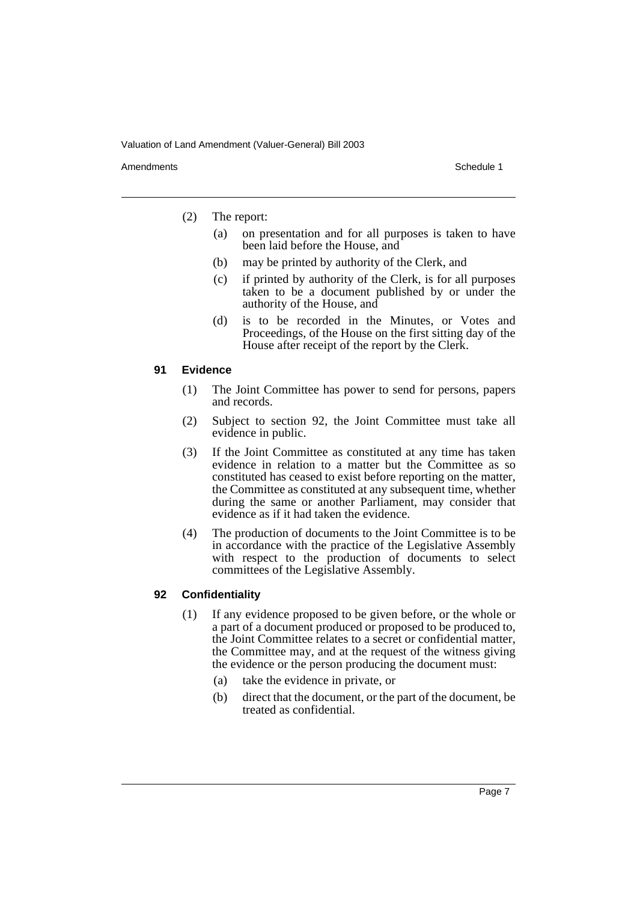Amendments **Schedule 1** and the set of the set of the set of the set of the set of the set of the set of the set of the set of the set of the set of the set of the set of the set of the set of the set of the set of the set

- (2) The report:
	- (a) on presentation and for all purposes is taken to have been laid before the House, and
	- (b) may be printed by authority of the Clerk, and
	- (c) if printed by authority of the Clerk, is for all purposes taken to be a document published by or under the authority of the House, and
	- (d) is to be recorded in the Minutes, or Votes and Proceedings, of the House on the first sitting day of the House after receipt of the report by the Clerk.

#### **91 Evidence**

- (1) The Joint Committee has power to send for persons, papers and records.
- (2) Subject to section 92, the Joint Committee must take all evidence in public.
- (3) If the Joint Committee as constituted at any time has taken evidence in relation to a matter but the Committee as so constituted has ceased to exist before reporting on the matter, the Committee as constituted at any subsequent time, whether during the same or another Parliament, may consider that evidence as if it had taken the evidence.
- (4) The production of documents to the Joint Committee is to be in accordance with the practice of the Legislative Assembly with respect to the production of documents to select committees of the Legislative Assembly.

#### **92 Confidentiality**

- (1) If any evidence proposed to be given before, or the whole or a part of a document produced or proposed to be produced to, the Joint Committee relates to a secret or confidential matter, the Committee may, and at the request of the witness giving the evidence or the person producing the document must:
	- (a) take the evidence in private, or
	- (b) direct that the document, or the part of the document, be treated as confidential.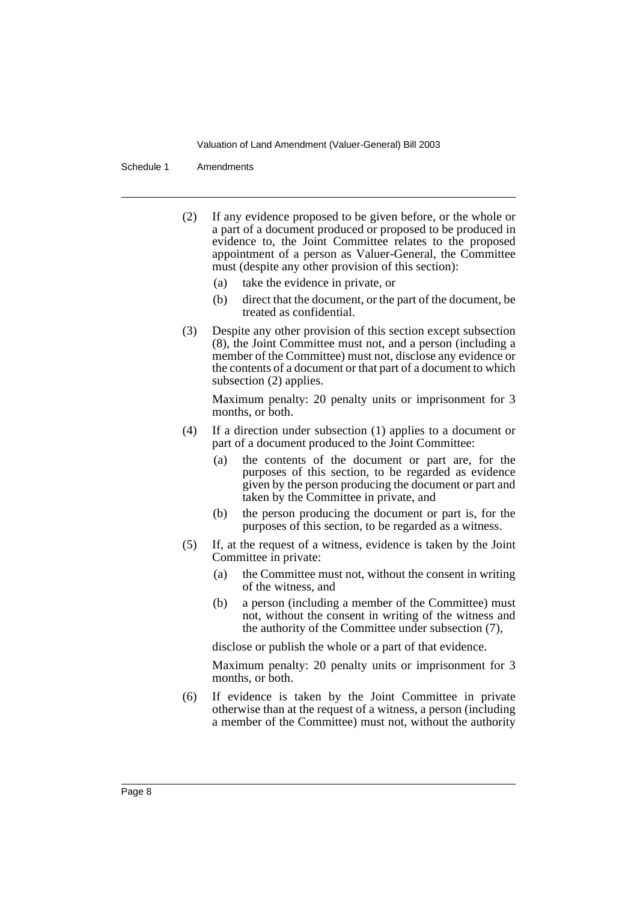Schedule 1 Amendments

- (2) If any evidence proposed to be given before, or the whole or a part of a document produced or proposed to be produced in evidence to, the Joint Committee relates to the proposed appointment of a person as Valuer-General, the Committee must (despite any other provision of this section):
	- (a) take the evidence in private, or
	- (b) direct that the document, or the part of the document, be treated as confidential.
- (3) Despite any other provision of this section except subsection (8), the Joint Committee must not, and a person (including a member of the Committee) must not, disclose any evidence or the contents of a document or that part of a document to which subsection (2) applies.

Maximum penalty: 20 penalty units or imprisonment for 3 months, or both.

- (4) If a direction under subsection (1) applies to a document or part of a document produced to the Joint Committee:
	- (a) the contents of the document or part are, for the purposes of this section, to be regarded as evidence given by the person producing the document or part and taken by the Committee in private, and
	- (b) the person producing the document or part is, for the purposes of this section, to be regarded as a witness.
- (5) If, at the request of a witness, evidence is taken by the Joint Committee in private:
	- (a) the Committee must not, without the consent in writing of the witness, and
	- (b) a person (including a member of the Committee) must not, without the consent in writing of the witness and the authority of the Committee under subsection (7),

disclose or publish the whole or a part of that evidence.

Maximum penalty: 20 penalty units or imprisonment for 3 months, or both.

(6) If evidence is taken by the Joint Committee in private otherwise than at the request of a witness, a person (including a member of the Committee) must not, without the authority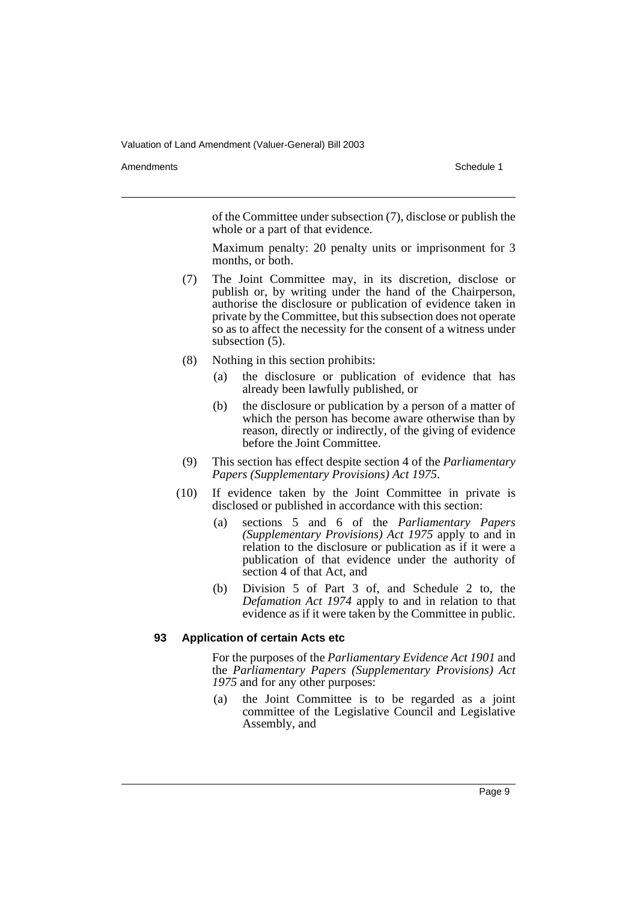Amendments **Schedule 1** and the set of the set of the set of the set of the set of the set of the set of the set of the set of the set of the set of the set of the set of the set of the set of the set of the set of the set

of the Committee under subsection (7), disclose or publish the whole or a part of that evidence.

Maximum penalty: 20 penalty units or imprisonment for 3 months, or both.

- (7) The Joint Committee may, in its discretion, disclose or publish or, by writing under the hand of the Chairperson, authorise the disclosure or publication of evidence taken in private by the Committee, but this subsection does not operate so as to affect the necessity for the consent of a witness under subsection (5).
- (8) Nothing in this section prohibits:
	- (a) the disclosure or publication of evidence that has already been lawfully published, or
	- (b) the disclosure or publication by a person of a matter of which the person has become aware otherwise than by reason, directly or indirectly, of the giving of evidence before the Joint Committee.
- (9) This section has effect despite section 4 of the *Parliamentary Papers (Supplementary Provisions) Act 1975*.
- (10) If evidence taken by the Joint Committee in private is disclosed or published in accordance with this section:
	- (a) sections 5 and 6 of the *Parliamentary Papers (Supplementary Provisions) Act 1975* apply to and in relation to the disclosure or publication as if it were a publication of that evidence under the authority of section 4 of that Act, and
	- (b) Division 5 of Part 3 of, and Schedule 2 to, the *Defamation Act 1974* apply to and in relation to that evidence as if it were taken by the Committee in public.

#### **93 Application of certain Acts etc**

For the purposes of the *Parliamentary Evidence Act 1901* and the *Parliamentary Papers (Supplementary Provisions) Act 1975* and for any other purposes:

(a) the Joint Committee is to be regarded as a joint committee of the Legislative Council and Legislative Assembly, and